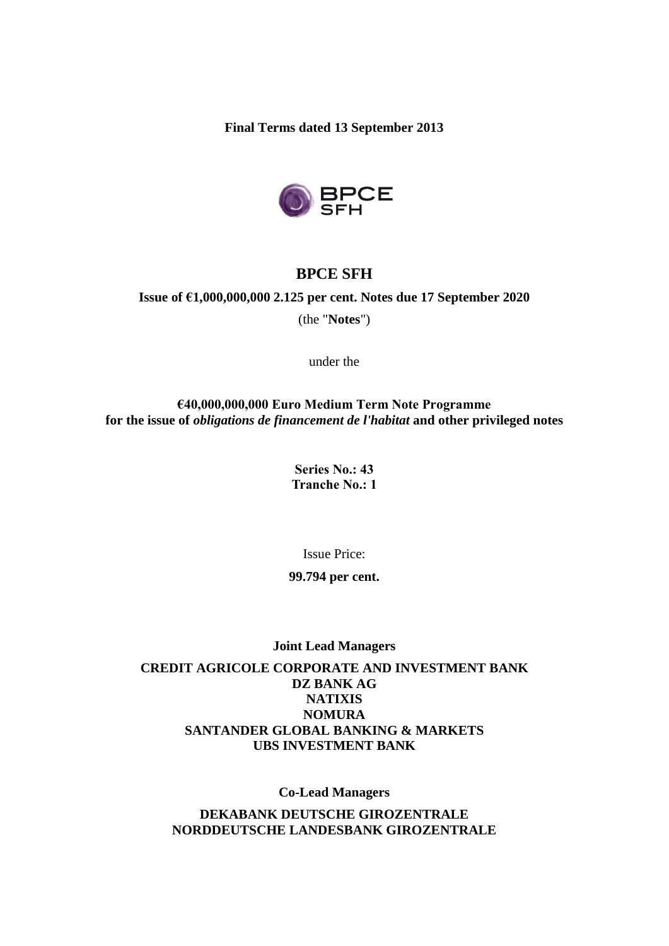**Final Terms dated 13 September 2013**



## **BPCE SFH**

## **Issue of €1,000,000,000 2.125 per cent. Notes due 17 September 2020**

(the "**Notes**")

under the

### **€40,000,000,000 Euro Medium Term Note Programme for the issue of** *obligations de financement de l'habitat* **and other privileged notes**

**Series No.: 43 Tranche No.: 1**

Issue Price:

#### **99.794 per cent.**

**Joint Lead Managers**

**CREDIT AGRICOLE CORPORATE AND INVESTMENT BANK DZ BANK AG NATIXIS NOMURA [SANTANDER](http://www.google.fr/url?sa=t&rct=j&q=santander%20global%20banking%20%26%20markets&source=web&cd=1&cad=rja&sqi=2&ved=0CDUQFjAA&url=http%3A%2F%2Fwww.santandergbm.com%2F&ei=HqTUUJbEFoaThgf56YHYBA&usg=AFQjCNGvKvl1XSYdCrSmMeEQQ_KjowKMsA) GLOBAL BANKING & MARKETS UBS INVESTMENT BANK**

**Co-Lead Managers**

**DEKABANK DEUTSCHE GIROZENTRALE NORDDEUTSCHE LANDESBANK GIROZENTRALE**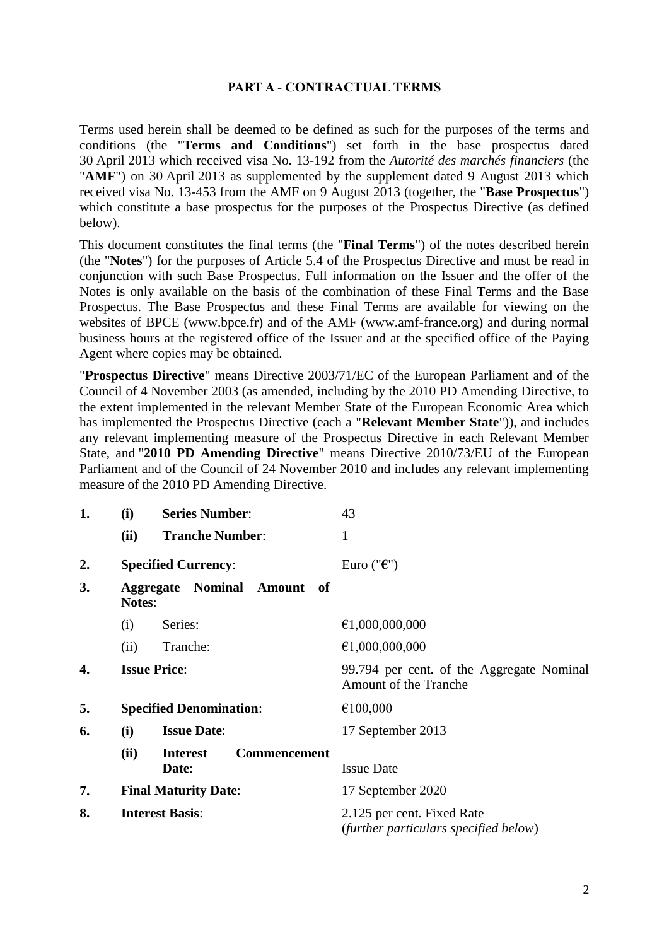### **PART A - CONTRACTUAL TERMS**

Terms used herein shall be deemed to be defined as such for the purposes of the terms and conditions (the "**Terms and Conditions**") set forth in the base prospectus dated 30 April 2013 which received visa No. 13-192 from the *Autorité des marchés financiers* (the "**AMF**") on 30 April 2013 as supplemented by the supplement dated 9 August 2013 which received visa No. 13-453 from the AMF on 9 August 2013 (together, the "**Base Prospectus**") which constitute a base prospectus for the purposes of the Prospectus Directive (as defined below).

This document constitutes the final terms (the "**Final Terms**") of the notes described herein (the "**Notes**") for the purposes of Article 5.4 of the Prospectus Directive and must be read in conjunction with such Base Prospectus. Full information on the Issuer and the offer of the Notes is only available on the basis of the combination of these Final Terms and the Base Prospectus. The Base Prospectus and these Final Terms are available for viewing on the websites of BPCE (www.bpce.fr) and of the AMF (www.amf-france.org) and during normal business hours at the registered office of the Issuer and at the specified office of the Paying Agent where copies may be obtained.

"**Prospectus Directive**" means Directive 2003/71/EC of the European Parliament and of the Council of 4 November 2003 (as amended, including by the 2010 PD Amending Directive, to the extent implemented in the relevant Member State of the European Economic Area which has implemented the Prospectus Directive (each a "**Relevant Member State**")), and includes any relevant implementing measure of the Prospectus Directive in each Relevant Member State, and "**2010 PD Amending Directive**" means Directive 2010/73/EU of the European Parliament and of the Council of 24 November 2010 and includes any relevant implementing measure of the 2010 PD Amending Directive.

| 1. | (i)           | <b>Series Number:</b>                           | 43                                                                  |
|----|---------------|-------------------------------------------------|---------------------------------------------------------------------|
|    | (ii)          | <b>Tranche Number:</b>                          | $\mathbf{1}$                                                        |
| 2. |               | <b>Specified Currency:</b>                      | Euro (" $\varepsilon$ ")                                            |
| 3. | <b>Notes:</b> | <b>Aggregate Nominal Amount</b><br>of           |                                                                     |
|    | (i)           | Series:                                         | €1,000,000,000                                                      |
|    | (ii)          | Tranche:                                        | €1,000,000,000                                                      |
| 4. |               | <b>Issue Price:</b>                             | 99.794 per cent. of the Aggregate Nominal<br>Amount of the Tranche  |
| 5. |               | <b>Specified Denomination:</b>                  | €100,000                                                            |
| 6. | (i)           | <b>Issue Date:</b>                              | 17 September 2013                                                   |
|    | (ii)          | <b>Commencement</b><br><b>Interest</b><br>Date: | <b>Issue Date</b>                                                   |
| 7. |               | <b>Final Maturity Date:</b>                     | 17 September 2020                                                   |
| 8. |               | <b>Interest Basis:</b>                          | 2.125 per cent. Fixed Rate<br>(further particulars specified below) |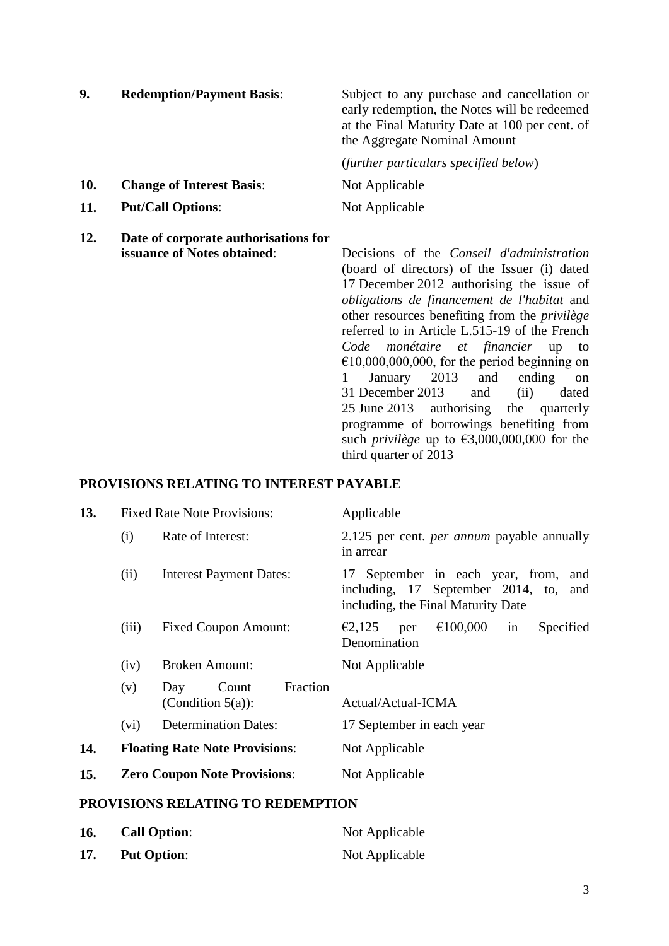| 9.         | <b>Redemption/Payment Basis:</b>                                    | Subject to any purchase and cancellation or<br>early redemption, the Notes will be redeemed<br>at the Final Maturity Date at 100 per cent. of<br>the Aggregate Nominal Amount |
|------------|---------------------------------------------------------------------|-------------------------------------------------------------------------------------------------------------------------------------------------------------------------------|
|            |                                                                     | (further particulars specified below)                                                                                                                                         |
| 10.        | <b>Change of Interest Basis:</b>                                    | Not Applicable                                                                                                                                                                |
| <b>11.</b> | <b>Put/Call Options:</b>                                            | Not Applicable                                                                                                                                                                |
| 12.        | Date of corporate authorisations for<br>issuance of Notes obtained: | Decisions of the <i>Conseil d'administration</i>                                                                                                                              |

(board of directors) of the Issuer (i) dated 17 December 2012 authorising the issue of *obligations de financement de l'habitat* and other resources benefiting from the *privilège* referred to in Article L.515-19 of the French *Code monétaire et financier* up to  $€10,000,000,000,$  for the period beginning on 1 January 2013 and ending on 31 December 2013 and (ii) dated 25 June 2013 authorising the quarterly programme of borrowings benefiting from such *privilège* up to  $\epsilon$ 3,000,000,000 for the third quarter of 2013

#### **PROVISIONS RELATING TO INTEREST PAYABLE**

| 13. |         | <b>Fixed Rate Note Provisions:</b>               | Applicable                                                                                                             |
|-----|---------|--------------------------------------------------|------------------------------------------------------------------------------------------------------------------------|
|     | (i)     | Rate of Interest:                                | 2.125 per cent. <i>per annum</i> payable annually<br>in arrear                                                         |
|     | (ii)    | <b>Interest Payment Dates:</b>                   | 17 September in each year, from, and<br>including, 17 September 2014, to,<br>and<br>including, the Final Maturity Date |
|     | (iii)   | <b>Fixed Coupon Amount:</b>                      | €100,000<br>€2,125<br>Specified<br>per<br>1n<br>Denomination                                                           |
|     | (iv)    | <b>Broken Amount:</b>                            | Not Applicable                                                                                                         |
|     | (v)     | Fraction<br>Count<br>Day<br>(Condition $5(a)$ ): | Actual/Actual-ICMA                                                                                                     |
|     | $(v_i)$ | <b>Determination Dates:</b>                      | 17 September in each year                                                                                              |
| 14. |         | <b>Floating Rate Note Provisions:</b>            | Not Applicable                                                                                                         |
| 15. |         | <b>Zero Coupon Note Provisions:</b>              | Not Applicable                                                                                                         |

#### **PROVISIONS RELATING TO REDEMPTION**

| 16. | <b>Call Option:</b> | Not Applicable |
|-----|---------------------|----------------|
| 17. | <b>Put Option:</b>  | Not Applicable |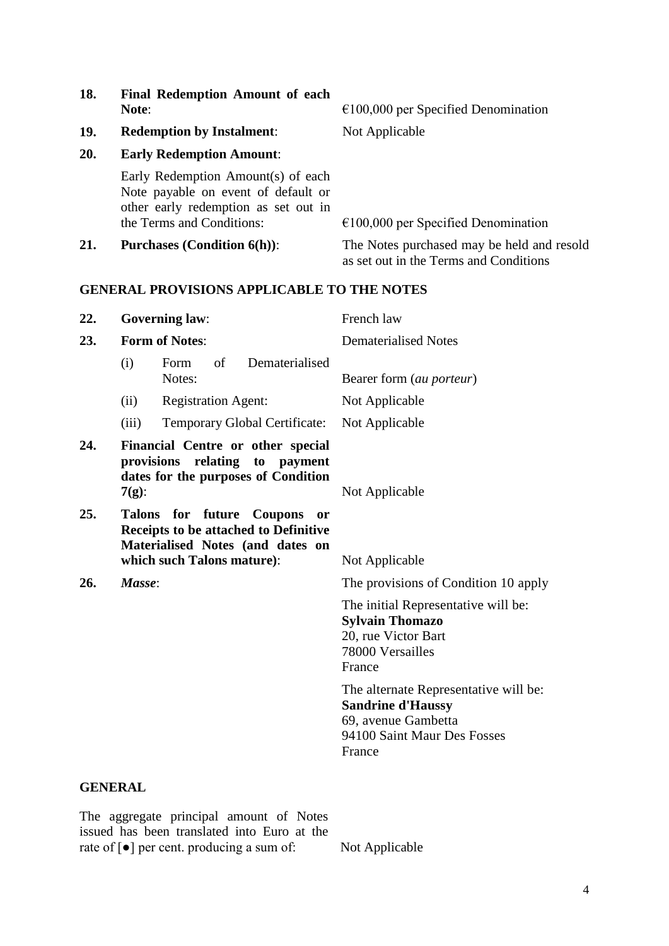| 18. | Note:                 | <b>Final Redemption Amount of each</b>                                                                                                         | $€100,000$ per Specified Denomination                                                |
|-----|-----------------------|------------------------------------------------------------------------------------------------------------------------------------------------|--------------------------------------------------------------------------------------|
| 19. |                       | <b>Redemption by Instalment:</b>                                                                                                               | Not Applicable                                                                       |
| 20. |                       | <b>Early Redemption Amount:</b>                                                                                                                |                                                                                      |
|     |                       | Early Redemption Amount(s) of each<br>Note payable on event of default or<br>other early redemption as set out in<br>the Terms and Conditions: | $€100,000$ per Specified Denomination                                                |
| 21. |                       | <b>Purchases (Condition 6(h)):</b>                                                                                                             | The Notes purchased may be held and resold<br>as set out in the Terms and Conditions |
|     |                       | <b>GENERAL PROVISIONS APPLICABLE TO THE NOTES</b>                                                                                              |                                                                                      |
| 22. | <b>Governing law:</b> |                                                                                                                                                | French law                                                                           |
| 23. | <b>Form of Notes:</b> |                                                                                                                                                | <b>Dematerialised Notes</b>                                                          |
|     | (i)                   | Dematerialised<br>of<br>Form<br>Notes:                                                                                                         | Bearer form (au porteur)                                                             |
|     | (ii)                  | <b>Registration Agent:</b>                                                                                                                     | Not Applicable                                                                       |
|     | (iii)                 | <b>Temporary Global Certificate:</b>                                                                                                           | Not Applicable                                                                       |
| 24. |                       | Financial Centre or other special<br>provisions relating<br>to payment<br>dates for the purposes of Condition                                  |                                                                                      |

**25. Talons for future Coupons or Receipts to be attached to Definitive Materialised Notes (and dates on which such Talons mature)**: Not Applicable

**7(g)**: Not Applicable

**26.** *Masse*: The provisions of Condition 10 apply

The initial Representative will be: **Sylvain Thomazo** 20, rue Victor Bart 78000 Versailles France

The alternate Representative will be: **Sandrine d'Haussy** 69, avenue Gambetta 94100 Saint Maur Des Fosses France

#### **GENERAL**

The aggregate principal amount of Notes issued has been translated into Euro at the rate of [●] per cent. producing a sum of: Not Applicable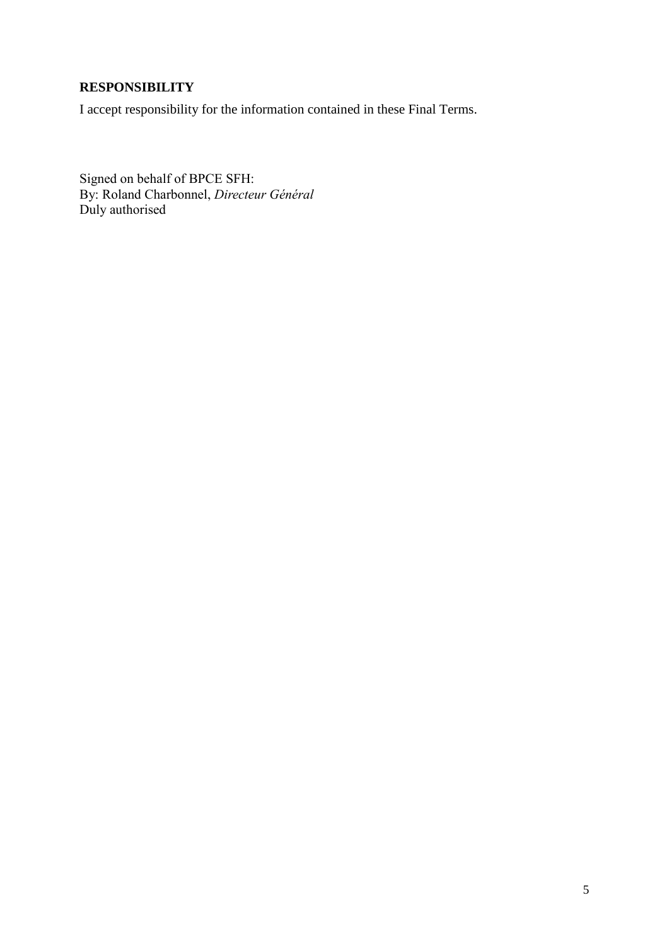# **RESPONSIBILITY**

I accept responsibility for the information contained in these Final Terms.

Signed on behalf of BPCE SFH: By: Roland Charbonnel, *Directeur Général* Duly authorised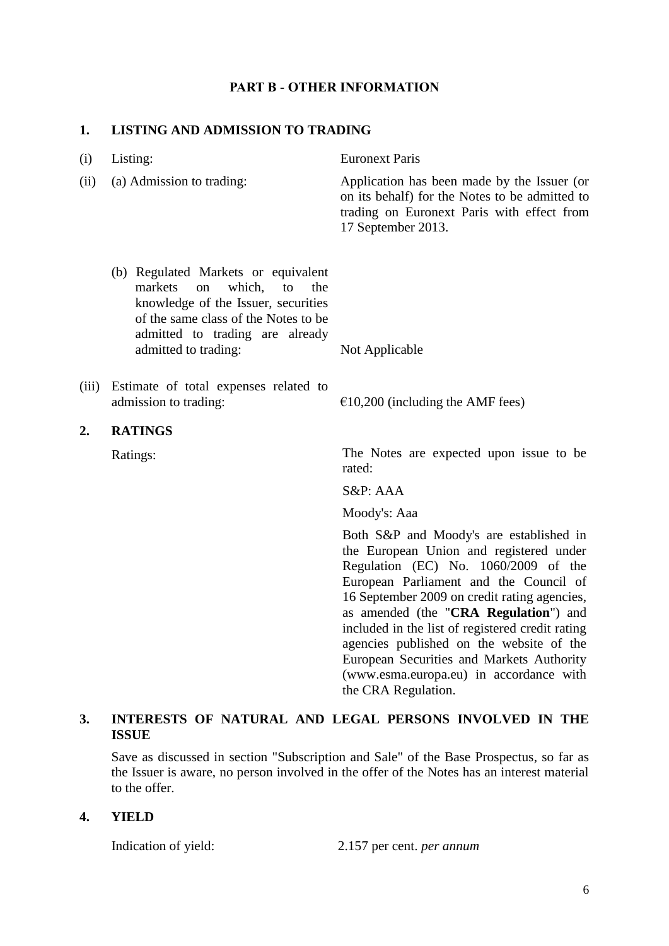#### **PART B - OTHER INFORMATION**

### **1. LISTING AND ADMISSION TO TRADING**

| (i)   | Listing:                                                                                                                                                                                                              | <b>Euronext Paris</b>                                                                                                                                                                                                                                         |
|-------|-----------------------------------------------------------------------------------------------------------------------------------------------------------------------------------------------------------------------|---------------------------------------------------------------------------------------------------------------------------------------------------------------------------------------------------------------------------------------------------------------|
| (ii)  | (a) Admission to trading:                                                                                                                                                                                             | Application has been made by the Issuer (or<br>on its behalf) for the Notes to be admitted to<br>trading on Euronext Paris with effect from<br>17 September 2013.                                                                                             |
|       | (b) Regulated Markets or equivalent<br>markets<br>which,<br>to<br>the<br>on<br>knowledge of the Issuer, securities<br>of the same class of the Notes to be<br>admitted to trading are already<br>admitted to trading: | Not Applicable                                                                                                                                                                                                                                                |
| (iii) | Estimate of total expenses related to<br>admission to trading:                                                                                                                                                        | $\epsilon$ 10,200 (including the AMF fees)                                                                                                                                                                                                                    |
| 2.    | <b>RATINGS</b>                                                                                                                                                                                                        |                                                                                                                                                                                                                                                               |
|       | Ratings:                                                                                                                                                                                                              | The Notes are expected upon issue to be<br>rated:                                                                                                                                                                                                             |
|       |                                                                                                                                                                                                                       | S&P: AAA                                                                                                                                                                                                                                                      |
|       |                                                                                                                                                                                                                       | Moody's: Aaa                                                                                                                                                                                                                                                  |
|       |                                                                                                                                                                                                                       | Both S&P and Moody's are established in<br>the European Union and registered under<br>Regulation (EC) No. 1060/2009 of the<br>European Parliament and the Council of<br>16 September 2009 on credit rating agencies,<br>as amended (the "CRA Regulation") and |

## **3. INTERESTS OF NATURAL AND LEGAL PERSONS INVOLVED IN THE ISSUE**

Save as discussed in section "Subscription and Sale" of the Base Prospectus, so far as the Issuer is aware, no person involved in the offer of the Notes has an interest material to the offer.

#### **4. YIELD**

Indication of yield: 2.157 per cent. *per annum*

the CRA Regulation.

included in the list of registered credit rating agencies published on the website of the European Securities and Markets Authority (www.esma.europa.eu) in accordance with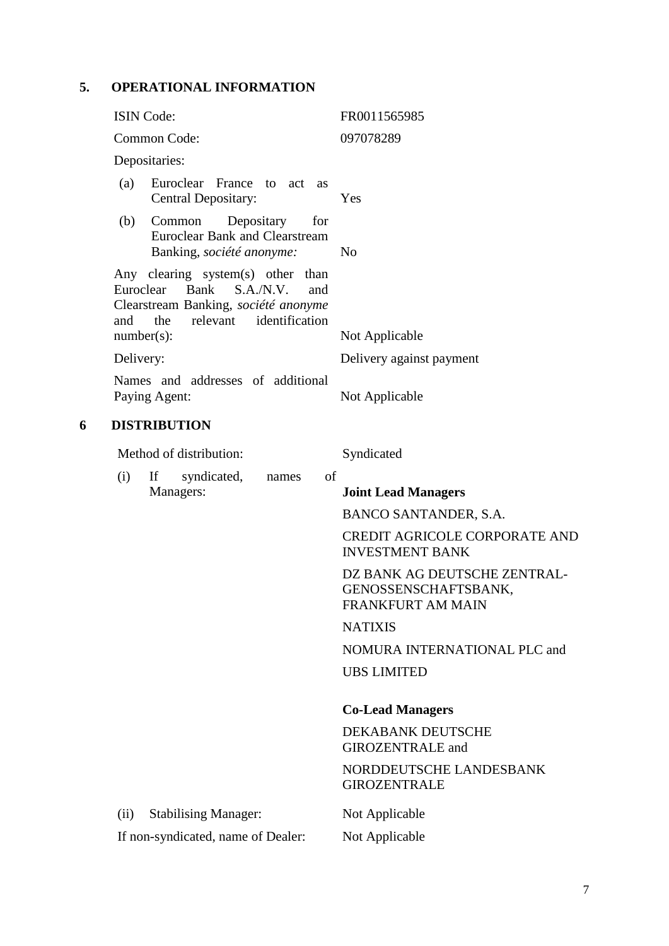# **5. OPERATIONAL INFORMATION**

|   | <b>ISIN</b> Code:                 |                                                                                                                                              | FR0011565985                                                                     |
|---|-----------------------------------|----------------------------------------------------------------------------------------------------------------------------------------------|----------------------------------------------------------------------------------|
|   |                                   | Common Code:                                                                                                                                 | 097078289                                                                        |
|   |                                   | Depositaries:                                                                                                                                |                                                                                  |
|   | (a)                               | Euroclear France to act as<br>Central Depositary:                                                                                            | Yes                                                                              |
|   | (b)                               | Depositary<br>Common<br>for<br><b>Euroclear Bank and Clearstream</b><br>Banking, société anonyme:                                            | N <sub>0</sub>                                                                   |
|   | Euroclear<br>and<br>$number(s)$ : | Any clearing system(s) other<br>than<br>Bank<br>S.A.N.V.<br>and<br>Clearstream Banking, société anonyme<br>identification<br>the<br>relevant | Not Applicable                                                                   |
|   | Delivery:                         |                                                                                                                                              | Delivery against payment                                                         |
|   |                                   | Names and addresses of additional                                                                                                            |                                                                                  |
|   |                                   | Paying Agent:                                                                                                                                | Not Applicable                                                                   |
| 6 |                                   | <b>DISTRIBUTION</b>                                                                                                                          |                                                                                  |
|   |                                   | Method of distribution:                                                                                                                      | Syndicated                                                                       |
|   | (i)                               | of<br>syndicated,<br>If<br>names                                                                                                             |                                                                                  |
|   |                                   | Managers:                                                                                                                                    | <b>Joint Lead Managers</b>                                                       |
|   |                                   |                                                                                                                                              | BANCO SANTANDER, S.A.                                                            |
|   |                                   |                                                                                                                                              | <b>CREDIT AGRICOLE CORPORATE AND</b><br><b>INVESTMENT BANK</b>                   |
|   |                                   |                                                                                                                                              | DZ BANK AG DEUTSCHE ZENTRAL-<br>GENOSSENSCHAFTSBANK,<br><b>FRANKFURT AM MAIN</b> |
|   |                                   |                                                                                                                                              | <b>NATIXIS</b>                                                                   |
|   |                                   |                                                                                                                                              | NOMURA INTERNATIONAL PLC and                                                     |
|   |                                   |                                                                                                                                              | <b>UBS LIMITED</b>                                                               |
|   |                                   |                                                                                                                                              | <b>Co-Lead Managers</b>                                                          |
|   |                                   |                                                                                                                                              | DEKABANK DEUTSCHE<br><b>GIROZENTRALE</b> and                                     |
|   |                                   |                                                                                                                                              | NORDDEUTSCHE LANDESBANK<br><b>GIROZENTRALE</b>                                   |
|   | (ii)                              | <b>Stabilising Manager:</b>                                                                                                                  | Not Applicable                                                                   |
|   |                                   | If non-syndicated, name of Dealer:                                                                                                           | Not Applicable                                                                   |
|   |                                   |                                                                                                                                              |                                                                                  |